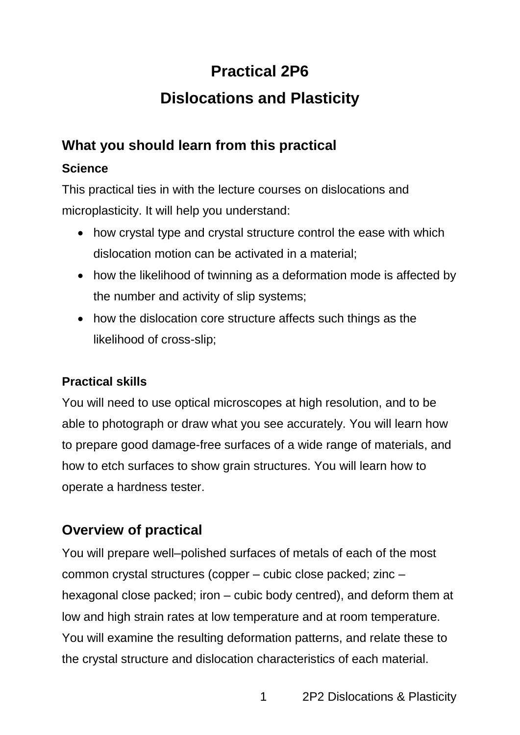# **Practical 2P6**

# **Dislocations and Plasticity**

# **What you should learn from this practical**

## **Science**

This practical ties in with the lecture courses on dislocations and microplasticity. It will help you understand:

- how crystal type and crystal structure control the ease with which dislocation motion can be activated in a material;
- how the likelihood of twinning as a deformation mode is affected by the number and activity of slip systems;
- how the dislocation core structure affects such things as the likelihood of cross-slip;

### **Practical skills**

You will need to use optical microscopes at high resolution, and to be able to photograph or draw what you see accurately. You will learn how to prepare good damage-free surfaces of a wide range of materials, and how to etch surfaces to show grain structures. You will learn how to operate a hardness tester.

# **Overview of practical**

You will prepare well–polished surfaces of metals of each of the most common crystal structures (copper – cubic close packed; zinc – hexagonal close packed; iron – cubic body centred), and deform them at low and high strain rates at low temperature and at room temperature. You will examine the resulting deformation patterns, and relate these to the crystal structure and dislocation characteristics of each material.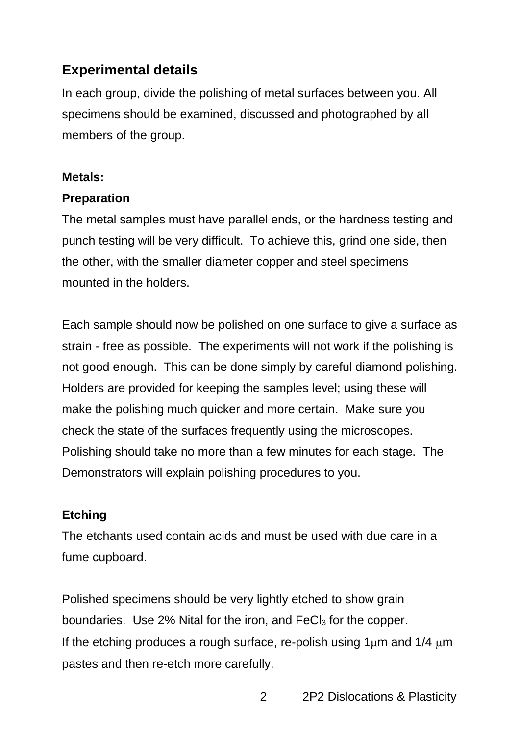## **Experimental details**

In each group, divide the polishing of metal surfaces between you. All specimens should be examined, discussed and photographed by all members of the group.

#### **Metals:**

#### **Preparation**

The metal samples must have parallel ends, or the hardness testing and punch testing will be very difficult. To achieve this, grind one side, then the other, with the smaller diameter copper and steel specimens mounted in the holders.

Each sample should now be polished on one surface to give a surface as strain - free as possible. The experiments will not work if the polishing is not good enough. This can be done simply by careful diamond polishing. Holders are provided for keeping the samples level; using these will make the polishing much quicker and more certain. Make sure you check the state of the surfaces frequently using the microscopes. Polishing should take no more than a few minutes for each stage. The Demonstrators will explain polishing procedures to you.

### **Etching**

The etchants used contain acids and must be used with due care in a fume cupboard.

Polished specimens should be very lightly etched to show grain boundaries. Use 2% Nital for the iron, and FeCl<sub>3</sub> for the copper. If the etching produces a rough surface, re-polish using  $1\mu$ m and  $1/4\mu$ m pastes and then re-etch more carefully.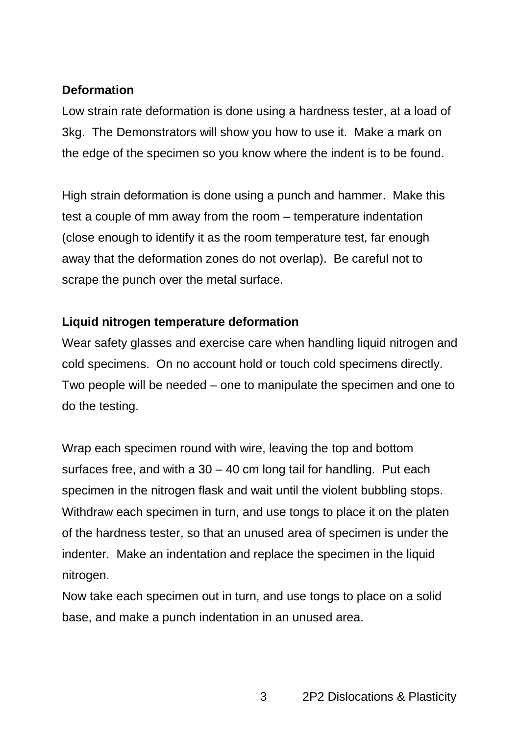#### **Deformation**

Low strain rate deformation is done using a hardness tester, at a load of 3kg. The Demonstrators will show you how to use it. Make a mark on the edge of the specimen so you know where the indent is to be found.

High strain deformation is done using a punch and hammer. Make this test a couple of mm away from the room – temperature indentation (close enough to identify it as the room temperature test, far enough away that the deformation zones do not overlap). Be careful not to scrape the punch over the metal surface.

#### **Liquid nitrogen temperature deformation**

Wear safety glasses and exercise care when handling liquid nitrogen and cold specimens. On no account hold or touch cold specimens directly. Two people will be needed – one to manipulate the specimen and one to do the testing.

Wrap each specimen round with wire, leaving the top and bottom surfaces free, and with a  $30 - 40$  cm long tail for handling. Put each specimen in the nitrogen flask and wait until the violent bubbling stops. Withdraw each specimen in turn, and use tongs to place it on the platen of the hardness tester, so that an unused area of specimen is under the indenter. Make an indentation and replace the specimen in the liquid nitrogen.

Now take each specimen out in turn, and use tongs to place on a solid base, and make a punch indentation in an unused area.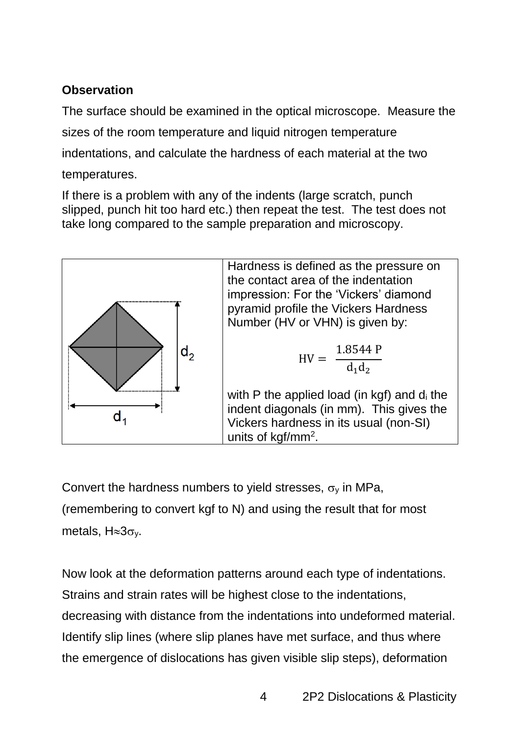## **Observation**

The surface should be examined in the optical microscope. Measure the sizes of the room temperature and liquid nitrogen temperature indentations, and calculate the hardness of each material at the two temperatures.

If there is a problem with any of the indents (large scratch, punch slipped, punch hit too hard etc.) then repeat the test. The test does not take long compared to the sample preparation and microscopy.



Convert the hardness numbers to yield stresses,  $\sigma_y$  in MPa, (remembering to convert kgf to N) and using the result that for most metals,  $H \approx 3\sigma_v$ .

Now look at the deformation patterns around each type of indentations. Strains and strain rates will be highest close to the indentations, decreasing with distance from the indentations into undeformed material. Identify slip lines (where slip planes have met surface, and thus where the emergence of dislocations has given visible slip steps), deformation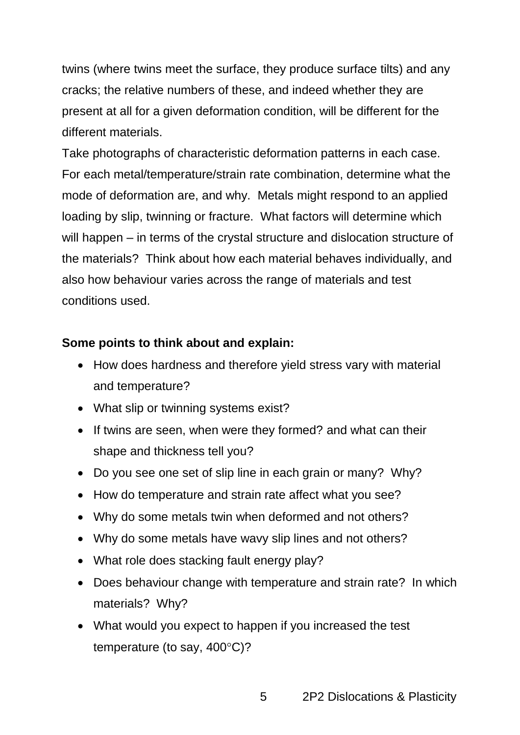twins (where twins meet the surface, they produce surface tilts) and any cracks; the relative numbers of these, and indeed whether they are present at all for a given deformation condition, will be different for the different materials.

Take photographs of characteristic deformation patterns in each case. For each metal/temperature/strain rate combination, determine what the mode of deformation are, and why. Metals might respond to an applied loading by slip, twinning or fracture. What factors will determine which will happen – in terms of the crystal structure and dislocation structure of the materials? Think about how each material behaves individually, and also how behaviour varies across the range of materials and test conditions used.

#### **Some points to think about and explain:**

- How does hardness and therefore yield stress vary with material and temperature?
- What slip or twinning systems exist?
- If twins are seen, when were they formed? and what can their shape and thickness tell you?
- Do you see one set of slip line in each grain or many? Why?
- How do temperature and strain rate affect what you see?
- Why do some metals twin when deformed and not others?
- Why do some metals have wavy slip lines and not others?
- What role does stacking fault energy play?
- Does behaviour change with temperature and strain rate? In which materials? Why?
- What would you expect to happen if you increased the test temperature (to say,  $400^{\circ}$ C)?